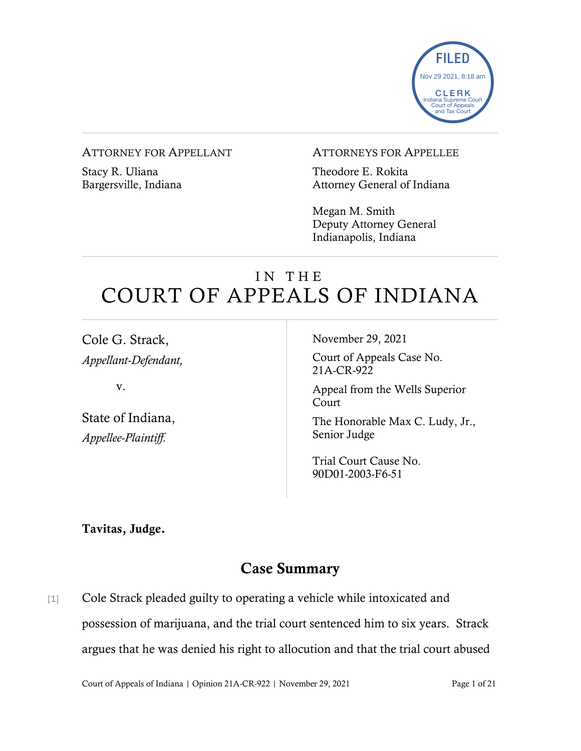

#### ATTORNEY FOR APPELLANT

Stacy R. Uliana Bargersville, Indiana

#### ATTORNEYS FOR APPELLEE

Theodore E. Rokita Attorney General of Indiana

Megan M. Smith Deputy Attorney General Indianapolis, Indiana

# IN THE COURT OF APPEALS OF INDIANA

Cole G. Strack, *Appellant-Defendant,*

v.

State of Indiana, *Appellee-Plaintiff.*

November 29, 2021

Court of Appeals Case No. 21A-CR-922

Appeal from the Wells Superior Court

The Honorable Max C. Ludy, Jr., Senior Judge

Trial Court Cause No. 90D01-2003-F6-51

Tavitas, Judge.

## Case Summary

[1] Cole Strack pleaded guilty to operating a vehicle while intoxicated and possession of marijuana, and the trial court sentenced him to six years. Strack argues that he was denied his right to allocution and that the trial court abused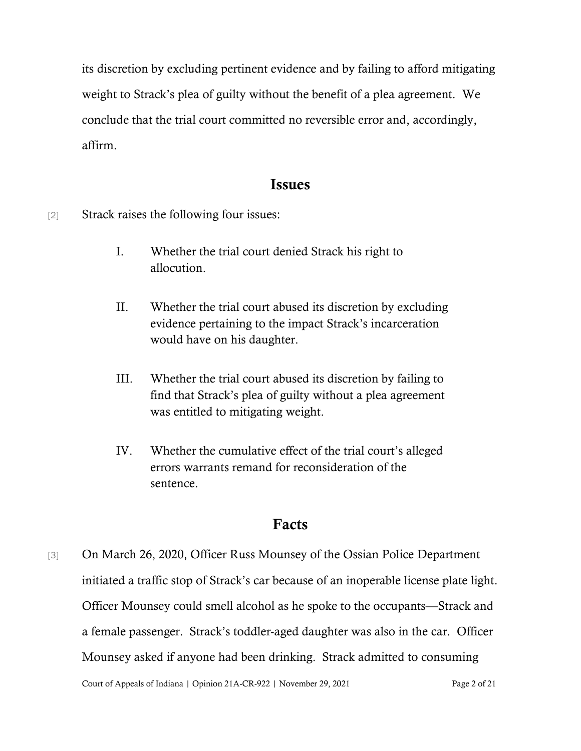its discretion by excluding pertinent evidence and by failing to afford mitigating weight to Strack's plea of guilty without the benefit of a plea agreement. We conclude that the trial court committed no reversible error and, accordingly, affirm.

### Issues

[2] Strack raises the following four issues:

- I. Whether the trial court denied Strack his right to allocution.
- II. Whether the trial court abused its discretion by excluding evidence pertaining to the impact Strack's incarceration would have on his daughter.
- III. Whether the trial court abused its discretion by failing to find that Strack's plea of guilty without a plea agreement was entitled to mitigating weight.
- IV. Whether the cumulative effect of the trial court's alleged errors warrants remand for reconsideration of the sentence.

### Facts

Court of Appeals of Indiana | Opinion 21A-CR-922 | November 29, 2021 Page 2 of 21 [3] On March 26, 2020, Officer Russ Mounsey of the Ossian Police Department initiated a traffic stop of Strack's car because of an inoperable license plate light. Officer Mounsey could smell alcohol as he spoke to the occupants—Strack and a female passenger. Strack's toddler-aged daughter was also in the car. Officer Mounsey asked if anyone had been drinking. Strack admitted to consuming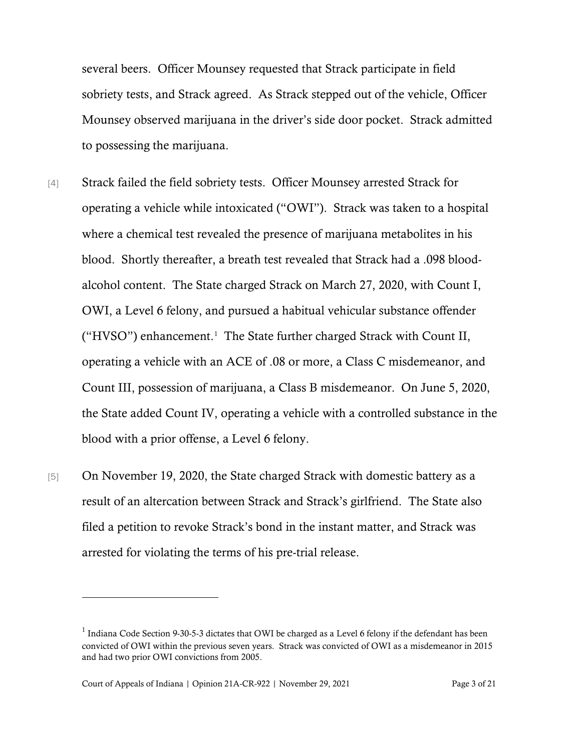several beers. Officer Mounsey requested that Strack participate in field sobriety tests, and Strack agreed. As Strack stepped out of the vehicle, Officer Mounsey observed marijuana in the driver's side door pocket. Strack admitted to possessing the marijuana.

- [4] Strack failed the field sobriety tests. Officer Mounsey arrested Strack for operating a vehicle while intoxicated ("OWI"). Strack was taken to a hospital where a chemical test revealed the presence of marijuana metabolites in his blood. Shortly thereafter, a breath test revealed that Strack had a .098 bloodalcohol content. The State charged Strack on March 27, 2020, with Count I, OWI, a Level 6 felony, and pursued a habitual vehicular substance offender ("HVSO") enhancement.[1](#page-2-0) The State further charged Strack with Count II, operating a vehicle with an ACE of .08 or more, a Class C misdemeanor, and Count III, possession of marijuana, a Class B misdemeanor. On June 5, 2020, the State added Count IV, operating a vehicle with a controlled substance in the blood with a prior offense, a Level 6 felony.
- [5] On November 19, 2020, the State charged Strack with domestic battery as a result of an altercation between Strack and Strack's girlfriend. The State also filed a petition to revoke Strack's bond in the instant matter, and Strack was arrested for violating the terms of his pre-trial release.

<span id="page-2-0"></span><sup>&</sup>lt;sup>1</sup> Indiana Code Section 9-30-5-3 dictates that OWI be charged as a Level 6 felony if the defendant has been convicted of OWI within the previous seven years. Strack was convicted of OWI as a misdemeanor in 2015 and had two prior OWI convictions from 2005.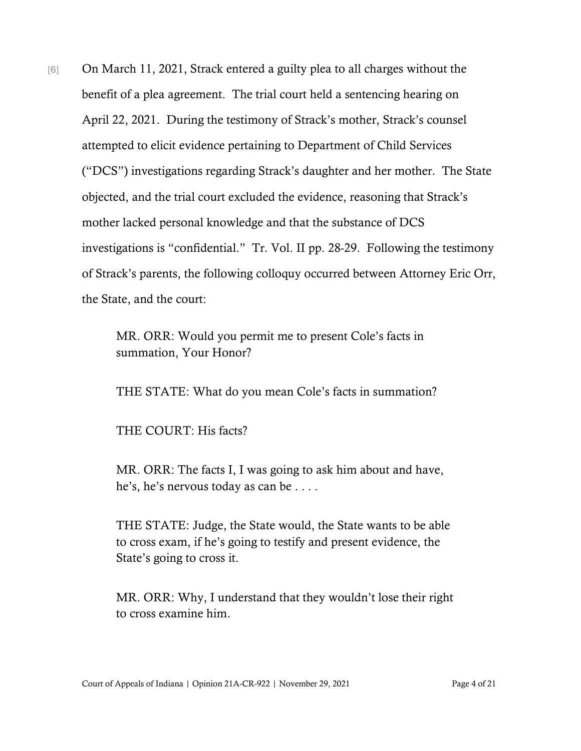[6] On March 11, 2021, Strack entered a guilty plea to all charges without the benefit of a plea agreement. The trial court held a sentencing hearing on April 22, 2021. During the testimony of Strack's mother, Strack's counsel attempted to elicit evidence pertaining to Department of Child Services ("DCS") investigations regarding Strack's daughter and her mother. The State objected, and the trial court excluded the evidence, reasoning that Strack's mother lacked personal knowledge and that the substance of DCS investigations is "confidential." Tr. Vol. II pp. 28-29. Following the testimony of Strack's parents, the following colloquy occurred between Attorney Eric Orr, the State, and the court:

> MR. ORR: Would you permit me to present Cole's facts in summation, Your Honor?

THE STATE: What do you mean Cole's facts in summation?

THE COURT: His facts?

MR. ORR: The facts I, I was going to ask him about and have, he's, he's nervous today as can be . . . .

THE STATE: Judge, the State would, the State wants to be able to cross exam, if he's going to testify and present evidence, the State's going to cross it.

MR. ORR: Why, I understand that they wouldn't lose their right to cross examine him.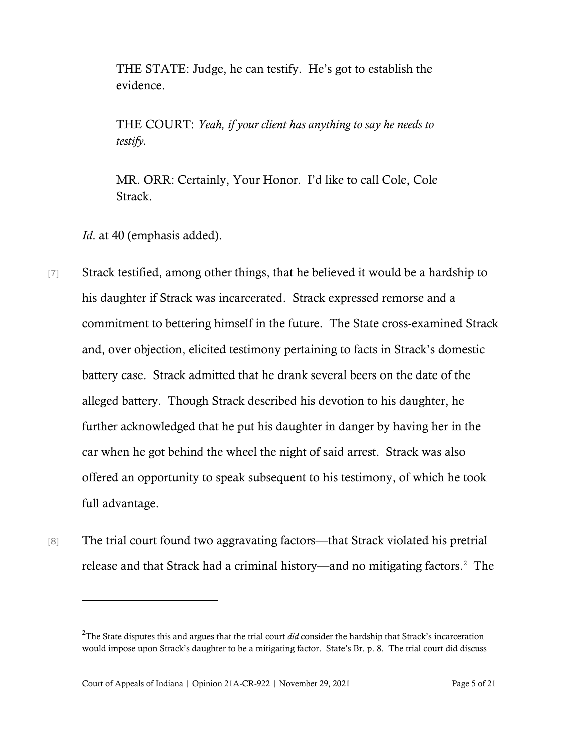THE STATE: Judge, he can testify. He's got to establish the evidence.

THE COURT: *Yeah, if your client has anything to say he needs to testify.*

MR. ORR: Certainly, Your Honor. I'd like to call Cole, Cole Strack.

*Id*. at 40 (emphasis added).

- [7] Strack testified, among other things, that he believed it would be a hardship to his daughter if Strack was incarcerated. Strack expressed remorse and a commitment to bettering himself in the future. The State cross-examined Strack and, over objection, elicited testimony pertaining to facts in Strack's domestic battery case. Strack admitted that he drank several beers on the date of the alleged battery. Though Strack described his devotion to his daughter, he further acknowledged that he put his daughter in danger by having her in the car when he got behind the wheel the night of said arrest. Strack was also offered an opportunity to speak subsequent to his testimony, of which he took full advantage.
- [8] The trial court found two aggravating factors—that Strack violated his pretrial release and that Strack had a criminal history—and no mitigating factors.<sup>[2](#page-4-0)</sup> The

<span id="page-4-0"></span><sup>2</sup> The State disputes this and argues that the trial court *did* consider the hardship that Strack's incarceration would impose upon Strack's daughter to be a mitigating factor. State's Br. p. 8. The trial court did discuss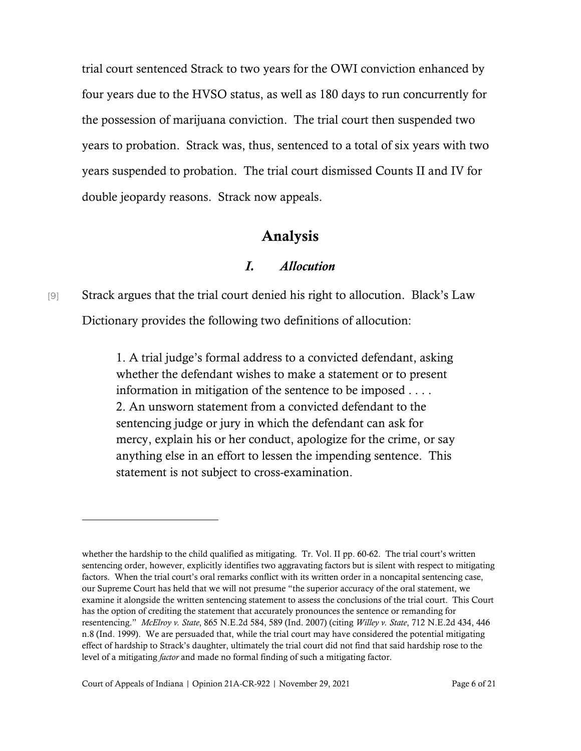trial court sentenced Strack to two years for the OWI conviction enhanced by four years due to the HVSO status, as well as 180 days to run concurrently for the possession of marijuana conviction. The trial court then suspended two years to probation. Strack was, thus, sentenced to a total of six years with two years suspended to probation. The trial court dismissed Counts II and IV for double jeopardy reasons. Strack now appeals.

### Analysis

#### *I. Allocution*

[9] Strack argues that the trial court denied his right to allocution. Black's Law Dictionary provides the following two definitions of allocution:

> 1. A trial judge's formal address to a convicted defendant, asking whether the defendant wishes to make a statement or to present information in mitigation of the sentence to be imposed . . . . 2. An unsworn statement from a convicted defendant to the sentencing judge or jury in which the defendant can ask for mercy, explain his or her conduct, apologize for the crime, or say anything else in an effort to lessen the impending sentence. This statement is not subject to cross-examination.

whether the hardship to the child qualified as mitigating. Tr. Vol. II pp. 60-62. The trial court's written sentencing order, however, explicitly identifies two aggravating factors but is silent with respect to mitigating factors. When the trial court's oral remarks conflict with its written order in a noncapital sentencing case, our Supreme Court has held that we will not presume "the superior accuracy of the oral statement, we examine it alongside the written sentencing statement to assess the conclusions of the trial court. This Court has the option of crediting the statement that accurately pronounces the sentence or remanding for resentencing." *McElroy v. State*, 865 N.E.2d 584, 589 (Ind. 2007) (citing *Willey v. State*, 712 N.E.2d 434, 446 n.8 (Ind. 1999). We are persuaded that, while the trial court may have considered the potential mitigating effect of hardship to Strack's daughter, ultimately the trial court did not find that said hardship rose to the level of a mitigating *factor* and made no formal finding of such a mitigating factor.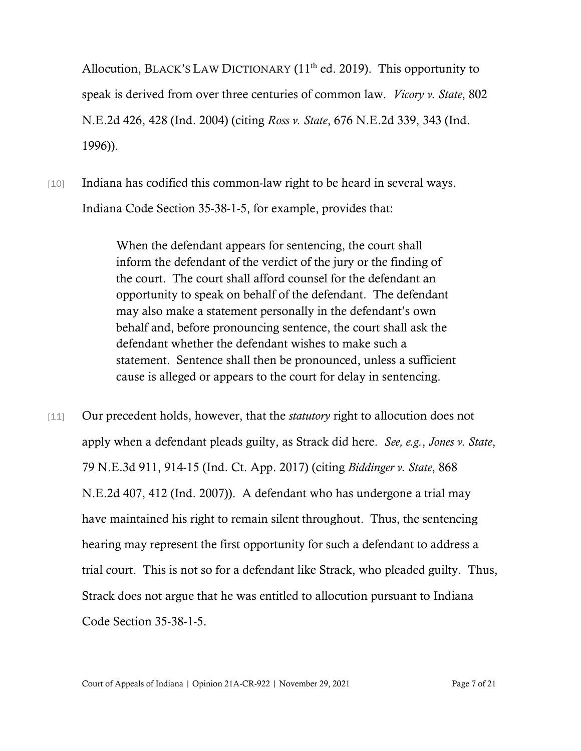Allocution, BLACK'S LAW DICTIONARY  $(11<sup>th</sup>$  ed. 2019). This opportunity to speak is derived from over three centuries of common law. *Vicory v. State*, 802 N.E.2d 426, 428 (Ind. 2004) (citing *Ross v. State*, 676 N.E.2d 339, 343 (Ind. 1996)).

[10] Indiana has codified this common-law right to be heard in several ways. Indiana Code Section 35-38-1-5, for example, provides that:

> When the defendant appears for sentencing, the court shall inform the defendant of the verdict of the jury or the finding of the court. The court shall afford counsel for the defendant an opportunity to speak on behalf of the defendant. The defendant may also make a statement personally in the defendant's own behalf and, before pronouncing sentence, the court shall ask the defendant whether the defendant wishes to make such a statement. Sentence shall then be pronounced, unless a sufficient cause is alleged or appears to the court for delay in sentencing.

[11] Our precedent holds, however, that the *statutory* right to allocution does not apply when a defendant pleads guilty, as Strack did here. *See, e.g.*, *Jones v. State*, 79 N.E.3d 911, 914-15 (Ind. Ct. App. 2017) (citing *Biddinger v. State*, 868 N.E.2d 407, 412 (Ind. 2007)). A defendant who has undergone a trial may have maintained his right to remain silent throughout. Thus, the sentencing hearing may represent the first opportunity for such a defendant to address a trial court. This is not so for a defendant like Strack, who pleaded guilty. Thus, Strack does not argue that he was entitled to allocution pursuant to Indiana Code Section 35-38-1-5.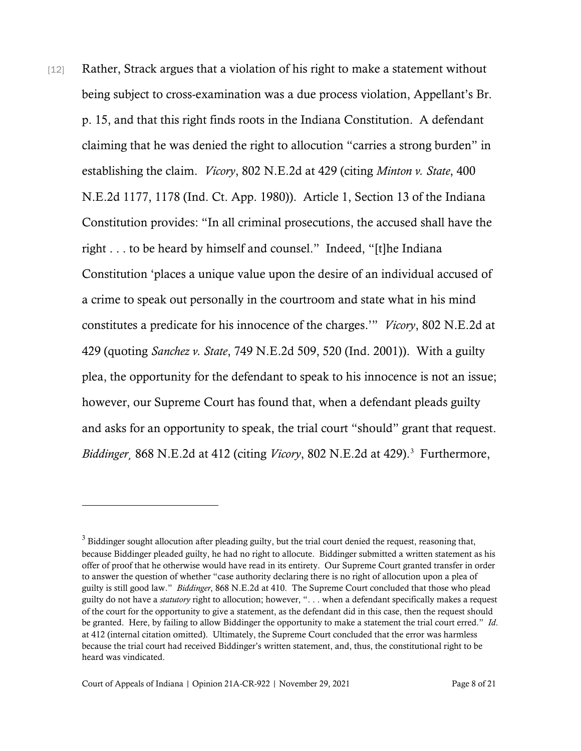[12] Rather, Strack argues that a violation of his right to make a statement without being subject to cross-examination was a due process violation, Appellant's Br. p. 15, and that this right finds roots in the Indiana Constitution. A defendant claiming that he was denied the right to allocution "carries a strong burden" in establishing the claim. *Vicory*, 802 N.E.2d at 429 (citing *Minton v. State*, 400 N.E.2d 1177, 1178 (Ind. Ct. App. 1980)). Article 1, Section 13 of the Indiana Constitution provides: "In all criminal prosecutions, the accused shall have the right . . . to be heard by himself and counsel." Indeed, "[t]he Indiana Constitution 'places a unique value upon the desire of an individual accused of a crime to speak out personally in the courtroom and state what in his mind constitutes a predicate for his innocence of the charges.'" *Vicory*, 802 N.E.2d at 429 (quoting *Sanchez v. State*, 749 N.E.2d 509, 520 (Ind. 2001)). With a guilty plea, the opportunity for the defendant to speak to his innocence is not an issue; however, our Supreme Court has found that, when a defendant pleads guilty and asks for an opportunity to speak, the trial court "should" grant that request. *Biddinger*¸ 868 N.E.2d at 412 (citing *Vicory*, 802 N.E.2d at 429). [3](#page-7-0) Furthermore,

<span id="page-7-0"></span><sup>&</sup>lt;sup>3</sup> Biddinger sought allocution after pleading guilty, but the trial court denied the request, reasoning that, because Biddinger pleaded guilty, he had no right to allocute. Biddinger submitted a written statement as his offer of proof that he otherwise would have read in its entirety. Our Supreme Court granted transfer in order to answer the question of whether "case authority declaring there is no right of allocution upon a plea of guilty is still good law." *Biddinger*, 868 N.E.2d at 410. The Supreme Court concluded that those who plead guilty do not have a *statutory* right to allocution; however, ". . . when a defendant specifically makes a request of the court for the opportunity to give a statement, as the defendant did in this case, then the request should be granted. Here, by failing to allow Biddinger the opportunity to make a statement the trial court erred." *Id*. at 412 (internal citation omitted). Ultimately, the Supreme Court concluded that the error was harmless because the trial court had received Biddinger's written statement, and, thus, the constitutional right to be heard was vindicated.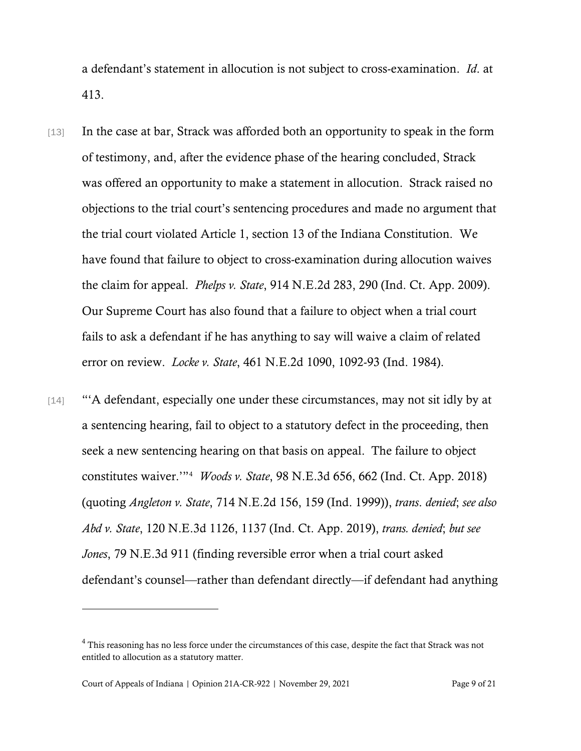a defendant's statement in allocution is not subject to cross-examination. *Id*. at 413.

- [13] In the case at bar, Strack was afforded both an opportunity to speak in the form of testimony, and, after the evidence phase of the hearing concluded, Strack was offered an opportunity to make a statement in allocution. Strack raised no objections to the trial court's sentencing procedures and made no argument that the trial court violated Article 1, section 13 of the Indiana Constitution. We have found that failure to object to cross-examination during allocution waives the claim for appeal. *Phelps v. State*, 914 N.E.2d 283, 290 (Ind. Ct. App. 2009). Our Supreme Court has also found that a failure to object when a trial court fails to ask a defendant if he has anything to say will waive a claim of related error on review. *Locke v. State*, 461 N.E.2d 1090, 1092-93 (Ind. 1984).
- [14] "'A defendant, especially one under these circumstances, may not sit idly by at a sentencing hearing, fail to object to a statutory defect in the proceeding, then seek a new sentencing hearing on that basis on appeal. The failure to object constitutes waiver.'"[4](#page-8-0) *Woods v. State*, 98 N.E.3d 656, 662 (Ind. Ct. App. 2018) (quoting *Angleton v. State*, 714 N.E.2d 156, 159 (Ind. 1999)), *trans*. *denied*; *see also Abd v. State*, 120 N.E.3d 1126, 1137 (Ind. Ct. App. 2019), *trans. denied*; *but see Jones*, 79 N.E.3d 911 (finding reversible error when a trial court asked defendant's counsel—rather than defendant directly—if defendant had anything

<span id="page-8-0"></span><sup>4</sup> This reasoning has no less force under the circumstances of this case, despite the fact that Strack was not entitled to allocution as a statutory matter.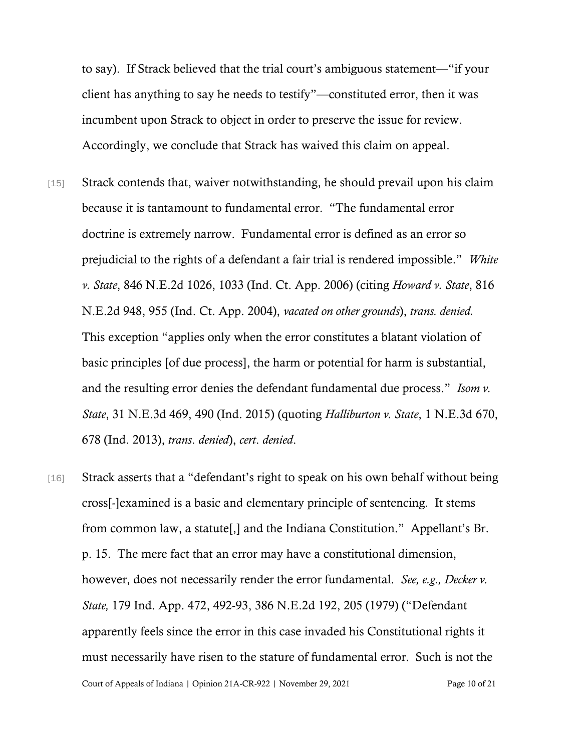to say). If Strack believed that the trial court's ambiguous statement—"if your client has anything to say he needs to testify"—constituted error, then it was incumbent upon Strack to object in order to preserve the issue for review. Accordingly, we conclude that Strack has waived this claim on appeal.

- [15] Strack contends that, waiver notwithstanding, he should prevail upon his claim because it is tantamount to fundamental error. "The fundamental error doctrine is extremely narrow. Fundamental error is defined as an error so prejudicial to the rights of a defendant a fair trial is rendered impossible." *White v. State*, 846 N.E.2d 1026, 1033 (Ind. Ct. App. 2006) (citing *Howard v. State*, 816 N.E.2d 948, 955 (Ind. Ct. App. 2004), *vacated on other grounds*), *trans. denied.* This exception "applies only when the error constitutes a blatant violation of basic principles [of due process], the harm or potential for harm is substantial, and the resulting error denies the defendant fundamental due process." *Isom v. State*, 31 N.E.3d 469, 490 (Ind. 2015) (quoting *Halliburton v. State*, 1 N.E.3d 670, 678 (Ind. 2013), *trans*. *denied*), *cert*. *denied*.
- Court of Appeals of Indiana | Opinion 21A-CR-922 | November 29, 2021 Page 10 of 21 [16] Strack asserts that a "defendant's right to speak on his own behalf without being cross[-]examined is a basic and elementary principle of sentencing. It stems from common law, a statute[,] and the Indiana Constitution." Appellant's Br. p. 15. The mere fact that an error may have a constitutional dimension, however, does not necessarily render the error fundamental. *See, e.g., Decker v. State,* 179 Ind. App. 472, 492-93, 386 N.E.2d 192, 205 (1979) ("Defendant apparently feels since the error in this case invaded his Constitutional rights it must necessarily have risen to the stature of fundamental error. Such is not the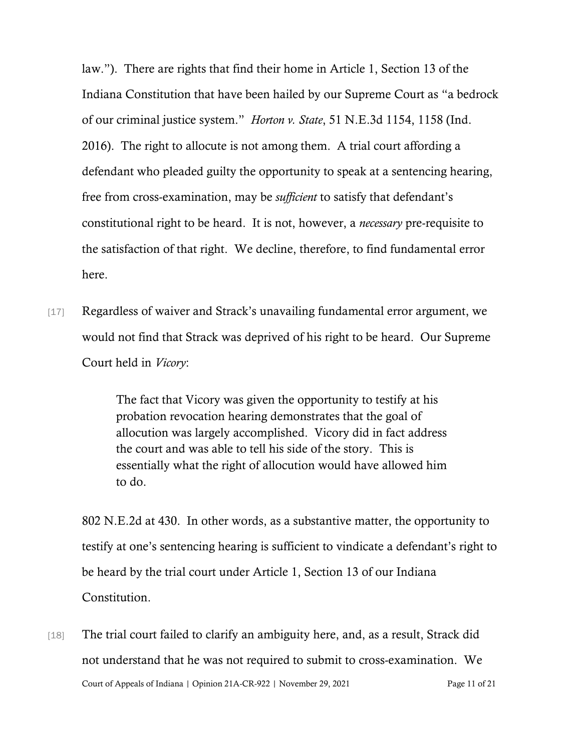law."). There are rights that find their home in Article 1, Section 13 of the Indiana Constitution that have been hailed by our Supreme Court as "a bedrock of our criminal justice system." *Horton v. State*, 51 N.E.3d 1154, 1158 (Ind. 2016). The right to allocute is not among them. A trial court affording a defendant who pleaded guilty the opportunity to speak at a sentencing hearing, free from cross-examination, may be *sufficient* to satisfy that defendant's constitutional right to be heard. It is not, however, a *necessary* pre-requisite to the satisfaction of that right. We decline, therefore, to find fundamental error here.

[17] Regardless of waiver and Strack's unavailing fundamental error argument, we would not find that Strack was deprived of his right to be heard. Our Supreme Court held in *Vicory*:

> The fact that Vicory was given the opportunity to testify at his probation revocation hearing demonstrates that the goal of allocution was largely accomplished. Vicory did in fact address the court and was able to tell his side of the story. This is essentially what the right of allocution would have allowed him to do.

802 N.E.2d at 430. In other words, as a substantive matter, the opportunity to testify at one's sentencing hearing is sufficient to vindicate a defendant's right to be heard by the trial court under Article 1, Section 13 of our Indiana Constitution.

Court of Appeals of Indiana | Opinion 21A-CR-922 | November 29, 2021 Page 11 of 21 [18] The trial court failed to clarify an ambiguity here, and, as a result, Strack did not understand that he was not required to submit to cross-examination. We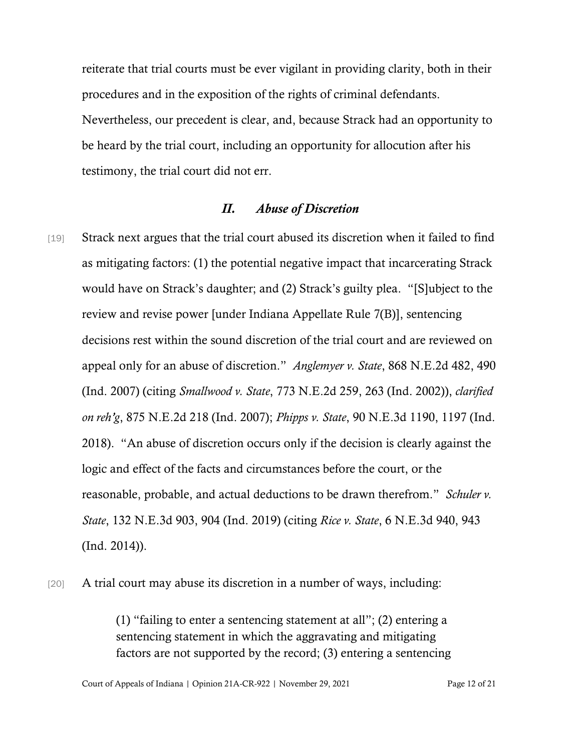reiterate that trial courts must be ever vigilant in providing clarity, both in their procedures and in the exposition of the rights of criminal defendants. Nevertheless, our precedent is clear, and, because Strack had an opportunity to be heard by the trial court, including an opportunity for allocution after his testimony, the trial court did not err.

#### *II. Abuse of Discretion*

[19] Strack next argues that the trial court abused its discretion when it failed to find as mitigating factors: (1) the potential negative impact that incarcerating Strack would have on Strack's daughter; and (2) Strack's guilty plea. "[S]ubject to the review and revise power [under Indiana Appellate Rule 7(B)], sentencing decisions rest within the sound discretion of the trial court and are reviewed on appeal only for an abuse of discretion." *Anglemyer v. State*, 868 N.E.2d 482, 490 (Ind. 2007) (citing *Smallwood v. State*, 773 N.E.2d 259, 263 (Ind. 2002)), *clarified on reh'g*, 875 N.E.2d 218 (Ind. 2007); *Phipps v. State*, 90 N.E.3d 1190, 1197 (Ind. 2018). "An abuse of discretion occurs only if the decision is clearly against the logic and effect of the facts and circumstances before the court, or the reasonable, probable, and actual deductions to be drawn therefrom." *Schuler v. State*, 132 N.E.3d 903, 904 (Ind. 2019) (citing *Rice v. State*, 6 N.E.3d 940, 943 (Ind. 2014)).

[20] A trial court may abuse its discretion in a number of ways, including:

(1) "failing to enter a sentencing statement at all"; (2) entering a sentencing statement in which the aggravating and mitigating factors are not supported by the record; (3) entering a sentencing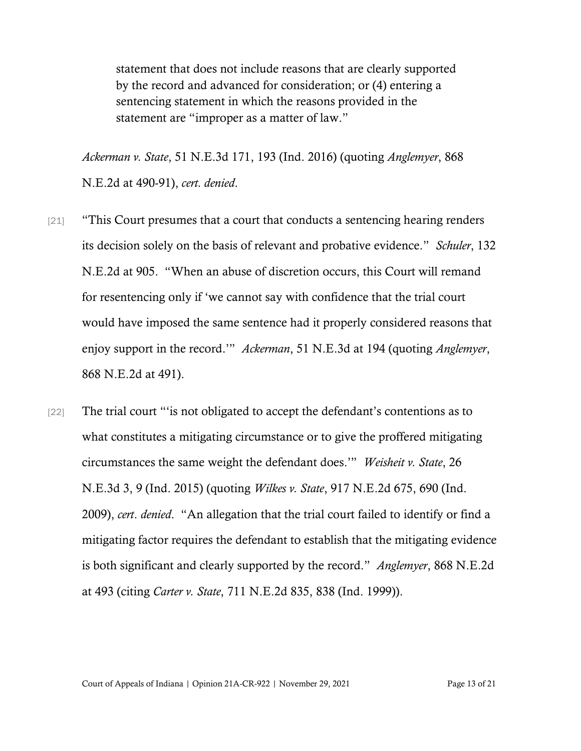statement that does not include reasons that are clearly supported by the record and advanced for consideration; or (4) entering a sentencing statement in which the reasons provided in the statement are "improper as a matter of law."

*Ackerman v. State*, 51 N.E.3d 171, 193 (Ind. 2016) (quoting *Anglemyer*, 868 N.E.2d at 490-91), *cert. denied*.

- [21] "This Court presumes that a court that conducts a sentencing hearing renders its decision solely on the basis of relevant and probative evidence." *Schuler*, 132 N.E.2d at 905. "When an abuse of discretion occurs, this Court will remand for resentencing only if 'we cannot say with confidence that the trial court would have imposed the same sentence had it properly considered reasons that enjoy support in the record.'" *Ackerman*, 51 N.E.3d at 194 (quoting *Anglemyer*, 868 N.E.2d at 491).
- [22] The trial court "'is not obligated to accept the defendant's contentions as to what constitutes a mitigating circumstance or to give the proffered mitigating circumstances the same weight the defendant does.'" *Weisheit v. State*, 26 N.E.3d 3, 9 (Ind. 2015) (quoting *Wilkes v. State*, 917 N.E.2d 675, 690 (Ind. 2009), *cert*. *denied*. "An allegation that the trial court failed to identify or find a mitigating factor requires the defendant to establish that the mitigating evidence is both significant and clearly supported by the record." *Anglemyer*, 868 N.E.2d at 493 (citing *Carter v. State*, 711 N.E.2d 835, 838 (Ind. 1999)).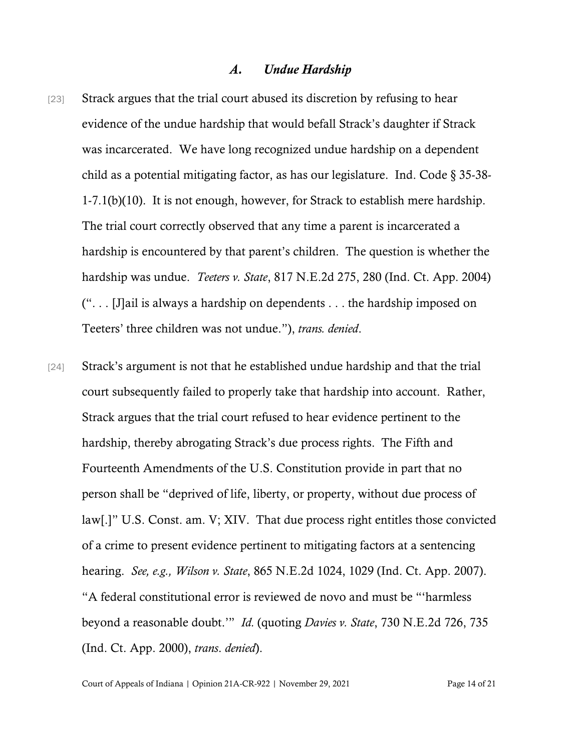#### *A. Undue Hardship*

- [23] Strack argues that the trial court abused its discretion by refusing to hear evidence of the undue hardship that would befall Strack's daughter if Strack was incarcerated. We have long recognized undue hardship on a dependent child as a potential mitigating factor, as has our legislature. Ind. Code § 35-38- 1-7.1(b)(10). It is not enough, however, for Strack to establish mere hardship. The trial court correctly observed that any time a parent is incarcerated a hardship is encountered by that parent's children. The question is whether the hardship was undue. *Teeters v. State*, 817 N.E.2d 275, 280 (Ind. Ct. App. 2004) (". . . [J]ail is always a hardship on dependents . . . the hardship imposed on Teeters' three children was not undue."), *trans. denied*.
- [24] Strack's argument is not that he established undue hardship and that the trial court subsequently failed to properly take that hardship into account. Rather, Strack argues that the trial court refused to hear evidence pertinent to the hardship, thereby abrogating Strack's due process rights. The Fifth and Fourteenth Amendments of the U.S. Constitution provide in part that no person shall be "deprived of life, liberty, or property, without due process of law[.]" U.S. Const. am. V; XIV. That due process right entitles those convicted of a crime to present evidence pertinent to mitigating factors at a sentencing hearing. *See, e.g., Wilson v. State*, 865 N.E.2d 1024, 1029 (Ind. Ct. App. 2007). "A federal constitutional error is reviewed de novo and must be "'harmless beyond a reasonable doubt.'" *Id.* (quoting *Davies v. State*, 730 N.E.2d 726, 735 (Ind. Ct. App. 2000), *trans*. *denied*).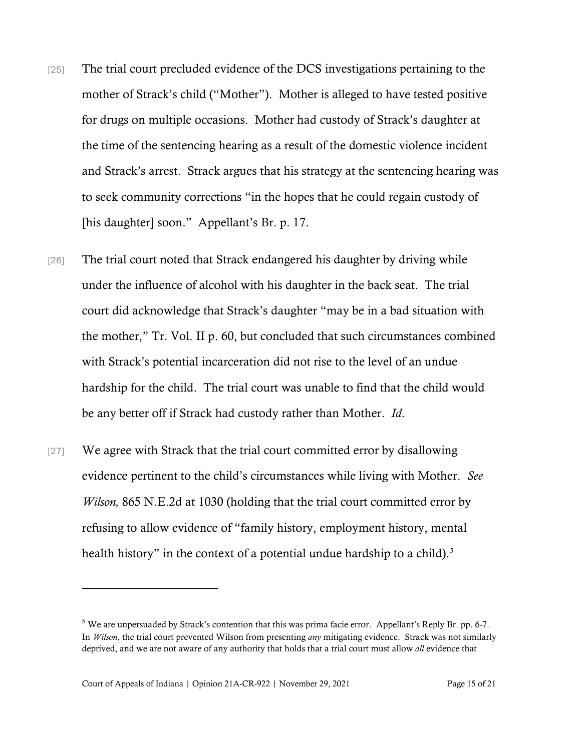- [25] The trial court precluded evidence of the DCS investigations pertaining to the mother of Strack's child ("Mother"). Mother is alleged to have tested positive for drugs on multiple occasions. Mother had custody of Strack's daughter at the time of the sentencing hearing as a result of the domestic violence incident and Strack's arrest. Strack argues that his strategy at the sentencing hearing was to seek community corrections "in the hopes that he could regain custody of [his daughter] soon." Appellant's Br. p. 17.
- [26] The trial court noted that Strack endangered his daughter by driving while under the influence of alcohol with his daughter in the back seat. The trial court did acknowledge that Strack's daughter "may be in a bad situation with the mother," Tr. Vol. II p. 60, but concluded that such circumstances combined with Strack's potential incarceration did not rise to the level of an undue hardship for the child. The trial court was unable to find that the child would be any better off if Strack had custody rather than Mother. *Id*.
- [27] We agree with Strack that the trial court committed error by disallowing evidence pertinent to the child's circumstances while living with Mother. *See Wilson,* 865 N.E.2d at 1030 (holding that the trial court committed error by refusing to allow evidence of "family history, employment history, mental health history" in the context of a potential undue hardship to a child).<sup>[5](#page-14-0)</sup>

<span id="page-14-0"></span> $5$  We are unpersuaded by Strack's contention that this was prima facie error. Appellant's Reply Br. pp. 6-7. In *Wilson*, the trial court prevented Wilson from presenting *any* mitigating evidence. Strack was not similarly deprived, and we are not aware of any authority that holds that a trial court must allow *all* evidence that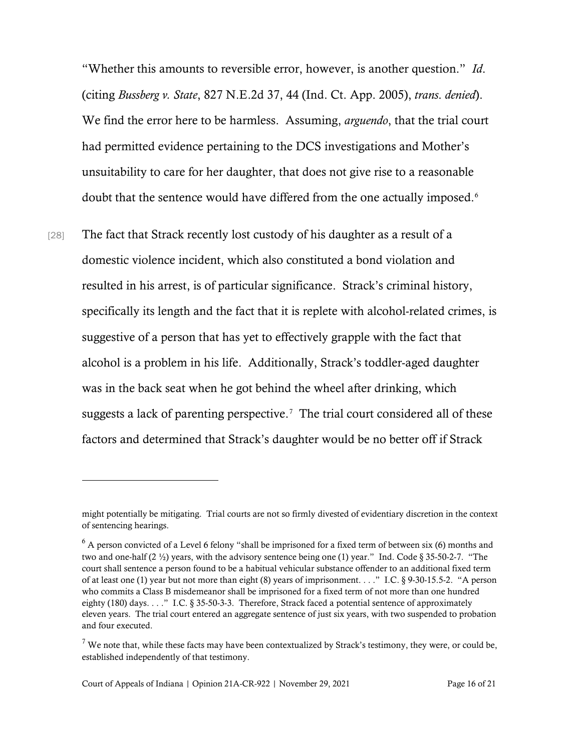"Whether this amounts to reversible error, however, is another question." *Id*. (citing *Bussberg v. State*, 827 N.E.2d 37, 44 (Ind. Ct. App. 2005), *trans*. *denied*). We find the error here to be harmless. Assuming, *arguendo*, that the trial court had permitted evidence pertaining to the DCS investigations and Mother's unsuitability to care for her daughter, that does not give rise to a reasonable doubt that the sentence would have differed from the one actually imposed.<sup>[6](#page-15-0)</sup>

[28] The fact that Strack recently lost custody of his daughter as a result of a domestic violence incident, which also constituted a bond violation and resulted in his arrest, is of particular significance. Strack's criminal history, specifically its length and the fact that it is replete with alcohol-related crimes, is suggestive of a person that has yet to effectively grapple with the fact that alcohol is a problem in his life. Additionally, Strack's toddler-aged daughter was in the back seat when he got behind the wheel after drinking, which suggests a lack of parenting perspective.<sup>[7](#page-15-1)</sup> The trial court considered all of these factors and determined that Strack's daughter would be no better off if Strack

might potentially be mitigating. Trial courts are not so firmly divested of evidentiary discretion in the context of sentencing hearings.

<span id="page-15-0"></span> $6$  A person convicted of a Level 6 felony "shall be imprisoned for a fixed term of between six (6) months and two and one-half (2 ½) years, with the advisory sentence being one (1) year." Ind. Code § 35-50-2-7. "The court shall sentence a person found to be a habitual vehicular substance offender to an additional fixed term of at least one (1) year but not more than eight (8) years of imprisonment. . . ." I.C. § 9-30-15.5-2. "A person who commits a Class B misdemeanor shall be imprisoned for a fixed term of not more than one hundred eighty (180) days. . . ." I.C.  $\S 35-50-3-3$ . Therefore, Strack faced a potential sentence of approximately eleven years. The trial court entered an aggregate sentence of just six years, with two suspended to probation and four executed.

<span id="page-15-1"></span> $7$  We note that, while these facts may have been contextualized by Strack's testimony, they were, or could be, established independently of that testimony.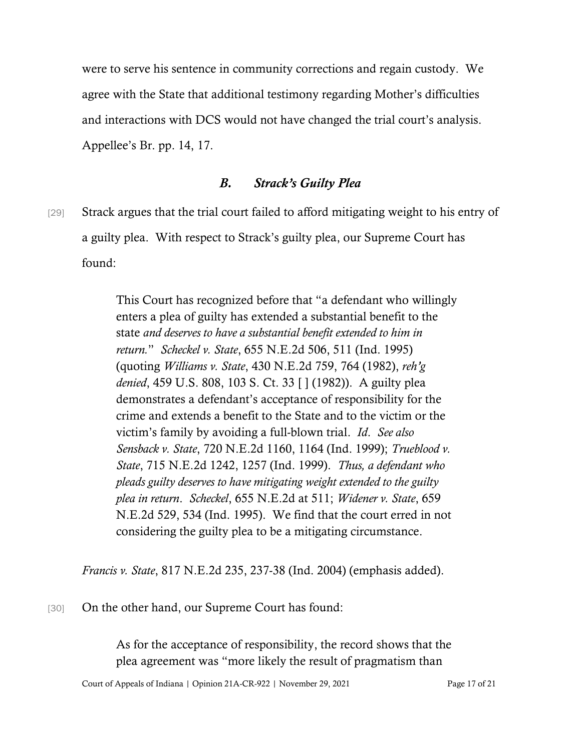were to serve his sentence in community corrections and regain custody. We agree with the State that additional testimony regarding Mother's difficulties and interactions with DCS would not have changed the trial court's analysis. Appellee's Br. pp. 14, 17.

### *B. Strack's Guilty Plea*

[29] Strack argues that the trial court failed to afford mitigating weight to his entry of a guilty plea. With respect to Strack's guilty plea, our Supreme Court has found:

> This Court has recognized before that "a defendant who willingly enters a plea of guilty has extended a substantial benefit to the state *and deserves to have a substantial benefit extended to him in return.*" *Scheckel v. State*, 655 N.E.2d 506, 511 (Ind. 1995) (quoting *Williams v. State*, 430 N.E.2d 759, 764 (1982), *reh'g denied*, 459 U.S. 808, 103 S. Ct. 33 [ ] (1982)). A guilty plea demonstrates a defendant's acceptance of responsibility for the crime and extends a benefit to the State and to the victim or the victim's family by avoiding a full-blown trial. *Id*. *See also Sensback v. State*, 720 N.E.2d 1160, 1164 (Ind. 1999); *Trueblood v. State*, 715 N.E.2d 1242, 1257 (Ind. 1999). *Thus, a defendant who pleads guilty deserves to have mitigating weight extended to the guilty plea in return*. *Scheckel*, 655 N.E.2d at 511; *Widener v. State*, 659 N.E.2d 529, 534 (Ind. 1995). We find that the court erred in not considering the guilty plea to be a mitigating circumstance.

*Francis v. State*, 817 N.E.2d 235, 237-38 (Ind. 2004) (emphasis added).

[30] On the other hand, our Supreme Court has found:

As for the acceptance of responsibility, the record shows that the plea agreement was "more likely the result of pragmatism than

Court of Appeals of Indiana | Opinion 21A-CR-922 | November 29, 2021 Page 17 of 21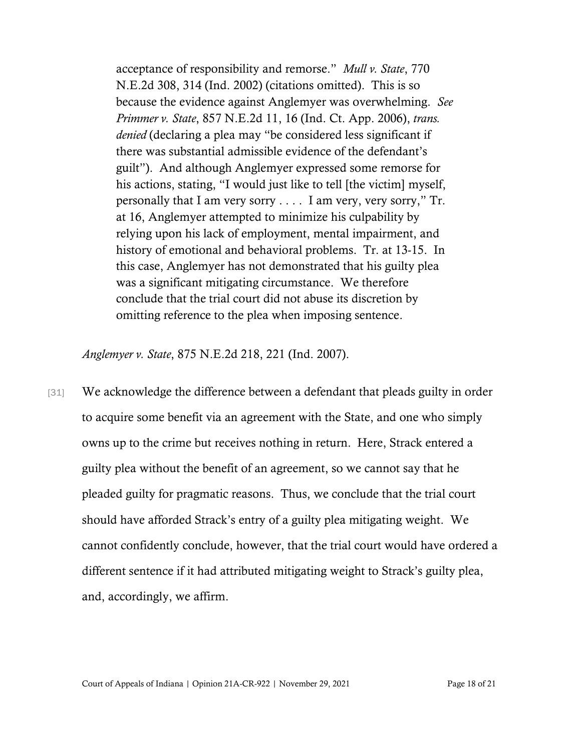acceptance of responsibility and remorse." *Mull v. State*, 770 N.E.2d 308, 314 (Ind. 2002) (citations omitted). This is so because the evidence against Anglemyer was overwhelming. *See Primmer v. State*, 857 N.E.2d 11, 16 (Ind. Ct. App. 2006), *trans. denied* (declaring a plea may "be considered less significant if there was substantial admissible evidence of the defendant's guilt"). And although Anglemyer expressed some remorse for his actions, stating, "I would just like to tell [the victim] myself, personally that I am very sorry . . . . I am very, very sorry," Tr. at 16, Anglemyer attempted to minimize his culpability by relying upon his lack of employment, mental impairment, and history of emotional and behavioral problems. Tr. at 13-15. In this case, Anglemyer has not demonstrated that his guilty plea was a significant mitigating circumstance. We therefore conclude that the trial court did not abuse its discretion by omitting reference to the plea when imposing sentence.

*Anglemyer v. State*, 875 N.E.2d 218, 221 (Ind. 2007).

[31] We acknowledge the difference between a defendant that pleads guilty in order to acquire some benefit via an agreement with the State, and one who simply owns up to the crime but receives nothing in return. Here, Strack entered a guilty plea without the benefit of an agreement, so we cannot say that he pleaded guilty for pragmatic reasons. Thus, we conclude that the trial court should have afforded Strack's entry of a guilty plea mitigating weight. We cannot confidently conclude, however, that the trial court would have ordered a different sentence if it had attributed mitigating weight to Strack's guilty plea, and, accordingly, we affirm.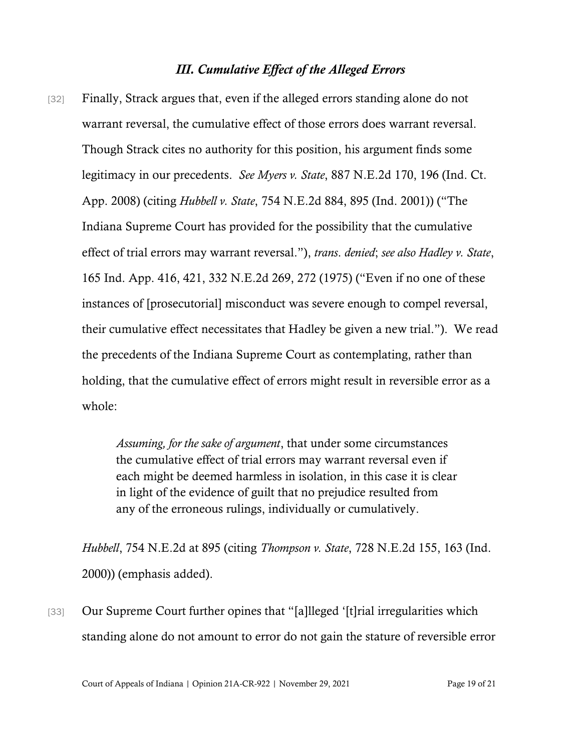#### *III. Cumulative Effect of the Alleged Errors*

[32] Finally, Strack argues that, even if the alleged errors standing alone do not warrant reversal, the cumulative effect of those errors does warrant reversal. Though Strack cites no authority for this position, his argument finds some legitimacy in our precedents. *See Myers v. State*, 887 N.E.2d 170, 196 (Ind. Ct. App. 2008) (citing *Hubbell v. State*, 754 N.E.2d 884, 895 (Ind. 2001)) ("The Indiana Supreme Court has provided for the possibility that the cumulative effect of trial errors may warrant reversal."), *trans*. *denied*; *see also Hadley v. State*, 165 Ind. App. 416, 421, 332 N.E.2d 269, 272 (1975) ("Even if no one of these instances of [prosecutorial] misconduct was severe enough to compel reversal, their cumulative effect necessitates that Hadley be given a new trial."). We read the precedents of the Indiana Supreme Court as contemplating, rather than holding, that the cumulative effect of errors might result in reversible error as a whole:

> *Assuming, for the sake of argument*, that under some circumstances the cumulative effect of trial errors may warrant reversal even if each might be deemed harmless in isolation, in this case it is clear in light of the evidence of guilt that no prejudice resulted from any of the erroneous rulings, individually or cumulatively.

*Hubbell*, 754 N.E.2d at 895 (citing *Thompson v. State*, 728 N.E.2d 155, 163 (Ind. 2000)) (emphasis added).

[33] Our Supreme Court further opines that "[a]lleged '[t]rial irregularities which standing alone do not amount to error do not gain the stature of reversible error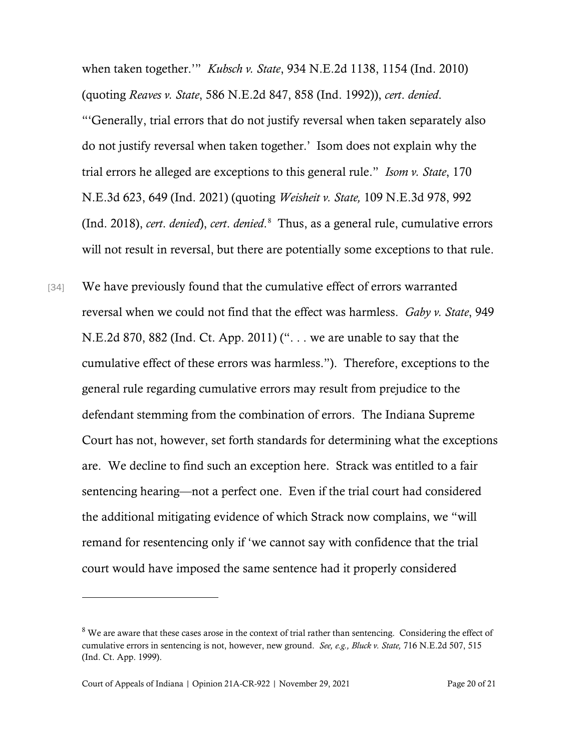when taken together.'" *Kubsch v. State*, 934 N.E.2d 1138, 1154 (Ind. 2010) (quoting *Reaves v. State*, 586 N.E.2d 847, 858 (Ind. 1992)), *cert*. *denied*. "'Generally, trial errors that do not justify reversal when taken separately also do not justify reversal when taken together.' Isom does not explain why the trial errors he alleged are exceptions to this general rule." *Isom v. State*, 170 N.E.3d 623, 649 (Ind. 2021) (quoting *Weisheit v. State,* 109 N.E.3d 978, 992 (Ind. 2018), *cert*. *denied*), *cert*. *denied*. [8](#page-19-0) Thus, as a general rule, cumulative errors will not result in reversal, but there are potentially some exceptions to that rule.

[34] We have previously found that the cumulative effect of errors warranted reversal when we could not find that the effect was harmless. *Gaby v. State*, 949 N.E.2d 870, 882 (Ind. Ct. App. 2011) (". . . we are unable to say that the cumulative effect of these errors was harmless."). Therefore, exceptions to the general rule regarding cumulative errors may result from prejudice to the defendant stemming from the combination of errors. The Indiana Supreme Court has not, however, set forth standards for determining what the exceptions are. We decline to find such an exception here. Strack was entitled to a fair sentencing hearing—not a perfect one. Even if the trial court had considered the additional mitigating evidence of which Strack now complains, we "will remand for resentencing only if 'we cannot say with confidence that the trial court would have imposed the same sentence had it properly considered

<span id="page-19-0"></span><sup>&</sup>lt;sup>8</sup> We are aware that these cases arose in the context of trial rather than sentencing. Considering the effect of cumulative errors in sentencing is not, however, new ground. *See, e.g., Bluck v. State,* 716 N.E.2d 507, 515 (Ind. Ct. App. 1999).